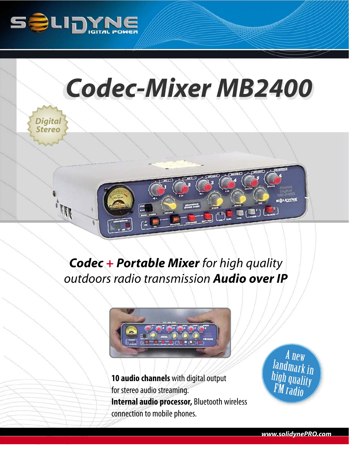



## *Codec + Portable Mixer for high quality outdoors radio transmission Audio over IP*



**10 audio channels** with digital output for stereo audio streaming. **Internal audio processor,** Bluetooth wireless connection to mobile phones.

A new A new<br>Iandmark in<br>high quality<br>FM radio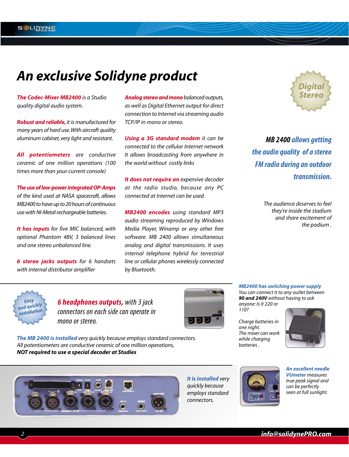### *An exclusive Solidyne product*

*The Codec-Mixer MB2400 is a Studio quality digital audio system.*

*Robust and reliable, it is manufactured for many years of hard use.With aircraft quality aluminum cabinet, very light and resistant.*

*All potentiometers are conductive ceramic of one million operations (100 times more than your current console)* 

*The use of low-power integrated OP-Amps of the kind used at NASA spacecraft, allows MB2400 to have up to 20 hours of continuous use with NI-Metal rechargeable batteries.*

*It has inputs for five MIC balanced, with optional Phantom 48V, 3 balanced lines and one stereo unbalanced line.*

*6 stereo jacks outputs for 6 handsets with internal distributor amplifier* 

*Analog stereo and monobalanced outputs, as well as Digital Ethernet output for direct connection to Internet via streaming audio TCP/IP in mono or stereo.*

*Using a 3G standard modem it can be connected to the cellular Internet network It allows broadcasting from anywhere in the world without costly links*

*It does not require an expensive decoder at the radio studio, because any PC connected at Internet can be used.*

*MB2400 encodes using standard MP3 audio streaming reproduced by Windows Media Player, Winamp or any other free software. MB 2400 allows simultaneous analog and digital transmissions. It uses internal telephone hybrid for terrestrial line or cellular phones wirelessly connected by Bluetooth.*



**MB 2400 allows getting the audio quality of a stereo FM radio during an outdoor transmission.** 

> *The audience deserves to feel they're inside the stadium and share excitement of the podium .*



**6 headphones outputs,** with 3 jack connectors on each side can operate in mono or stereo.



*MB2400 has switching power supply You can connect it to any outlet between 90 and 240V without having to ask anyone: Is it 220 or 110?* 

*Charge batteries in one night. The mixer can work while charging batteries .*



*The MB 2400 is installed very quickly because employs standard connectors. All potentiometers are conductive ceramic of one million operations, NOT required to use a special decoder at Studies* 



*quickly because*

*connectors.*



*An excellent needle VUmeter measures true peak signal and can be perfectly seen at full sunlight.*



*info@solidynePRO.com*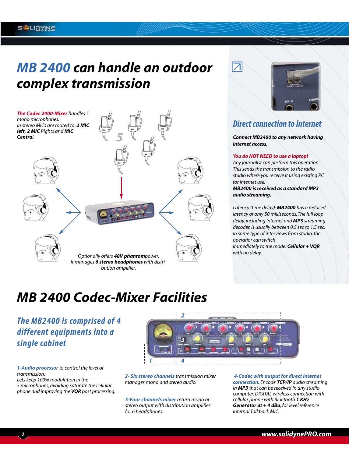### *MB 2400 can handle an outdoor complex transmission*





#### **Direct connection to Internet**

*Connect MB2400 to any network having Internet access.*

#### *You do NOT NEED to use a laptop!*

*Any journalist can perform this operation. This sends the transmission to the radio studio where you receive it using existing PC for Internet use.*

*MB2400 is received as a standard MP3 audio streaming.*

*Latency (time delay): MB2400 has a reduced latency of only 50 milliseconds. The full loop delay, including Internet and MP3 streaming decoder, is usually between 0,5 sec to 1,5 sec. In some type of interviews from studio, the operatior can switch immediately to the mode: Cellular + VQR*

*with no delay.*

### *MB 2400 Codec-Mixer Facilities*

#### **The MB2400 is comprised of 4 different equipments into a single cabinet**



*1-Audio processor to control the level of transmission.*

*Lets keep 100% modulation in the 5 microphones, avoiding saturate the cellular phone and improving the VQR post processing.* *2- Six stereo channels transmission mixer manages mono and stereo audio.*

*3-Four channels mixer return mono or stereo output with distribution amplifier for 6 headphones.*

*4-Codec with output for direct Internet connection. Encode TCP/IP audio streaming in MP3 that can be received in any studio computer. DIGITAL wireless connection with cellular phone with Bluetooth 1 KHz Generator at + 4 dBu, for level reference Internal Talkback MIC.*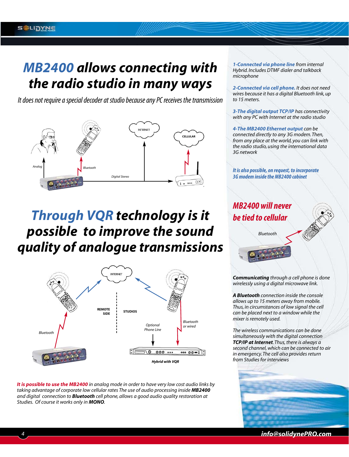### *MB2400 allows connecting with the radio studio in many ways*

It does not require a special decoder at studio because any PC receives the transmission



# *Through VQR technology is it possible to improve the sound quality of analogue transmissions*



*It is possible to use the MB2400 in analog mode in order to have very low cost audio links by taking advantage of corporate low cellular rates The use of audio processing inside MB2400 and digital connection to Bluetooth cell phone, allows a good audio quality restoration at Studies. Of course it works only in MONO.*

*1-Connected via phone line from internal Hybrid. Includes DTMF dialer and talkback microphone*

*2-Connected via cell phone. It does not need wires because it has a digital Bluetooth link, up to 15 meters.*

*3-The digital output TCP/IP has connectivity with any PC with Internet at the radio studio*

*4-The MB2400 Ethernet output can be connected directly to any 3G modem. Then, from any place at the world, you can link with the radio studio, using the international data 3G network* 

**It is also possible, on request, to incorporate 3G modem inside the MB2400 cabinet**

**MB2400 will never be tied to cellular** 

*Bluetooth*

*Communicating through a cell phone is done wirelessly using a digital microwave link.*

*A Bluetooth connection inside the console allows up to 15 meters away from mobile. Thus, in circumstances of low signal the cell can be placed next to a window while the mixer is remotely used.*

*The wireless communications can be done simultaneously with the digital connection TCP/IP at Internet. Thus, there is always a second channel, which can be connected to air in emergency. The cell also provides return from Studies for interviews* 



*4 info@solidynePRO.com*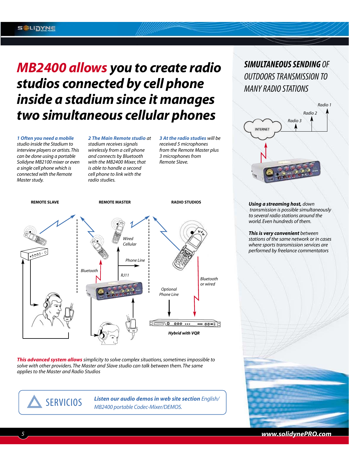## *MB2400 allows you to create radio studios connected by cell phone inside a stadium since it manages two simultaneous cellular phones*

*1 Often you need a mobile studio inside the Stadium to interview players or artists.This can be done using a portable Solidyne MB2100 mixer or even a single cell phone which is connected with the Remote Master study.*

*2 The Main Remote studio at stadium receives signals wirelessly from a cell phone and connects by Bluetooth with the MB2400 Mixer, that is able to handle a second cell phone to link with the radio studies.*

*3 At the radio studies will be received 5 microphones from the Remote Master plus 3 microphones from Remote Slave.*



*This advanced system allows simplicity to solve complex situations, sometimes impossible to solve with other providers. The Master and Slave studio can talk between them. The same applies to the Master and Radio Studios*

*Listen our audio demos in web site section English/* **SERVICIOS** Listen our audio demos in web site<br>MB2400 portable Codec-Mixer/DEMOS.

#### **SIMULTANEOUS SENDING** OF OUTDOORS TRANSMISSION TO MANY RADIO STATIONS



*Using a streaming host, down transmission is possible simultaneously to several radio stations around the world. Even hundreds of them.*

*This is very convenient between stations of the same network or in cases where sports transmission services are performed by freelance commentators*